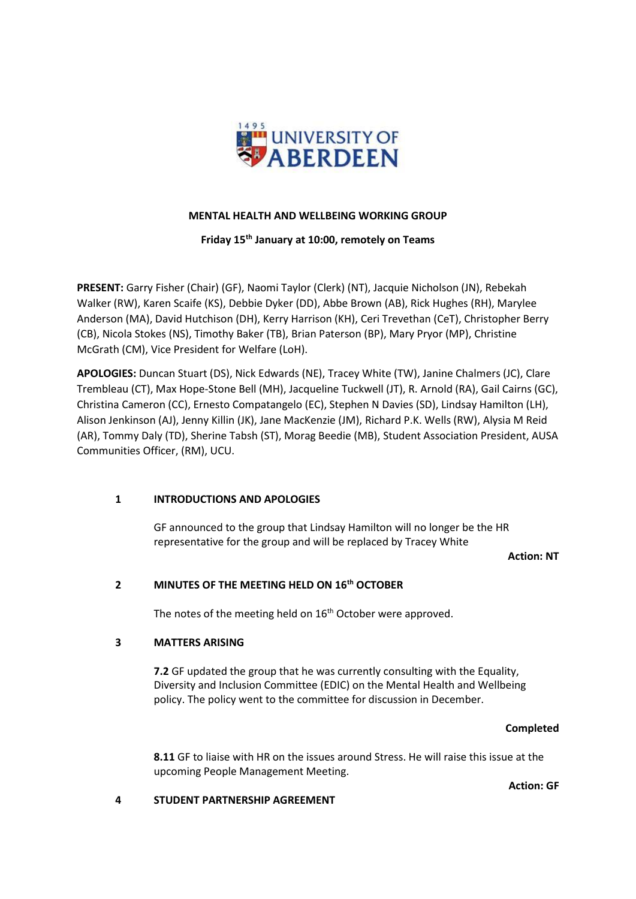

### **MENTAL HEALTH AND WELLBEING WORKING GROUP**

**Friday 15th January at 10:00, remotely on Teams**

**PRESENT:** Garry Fisher (Chair) (GF), Naomi Taylor (Clerk) (NT), Jacquie Nicholson (JN), Rebekah Walker (RW), Karen Scaife (KS), Debbie Dyker (DD), Abbe Brown (AB), Rick Hughes (RH), Marylee Anderson (MA), David Hutchison (DH), Kerry Harrison (KH), Ceri Trevethan (CeT), Christopher Berry (CB), Nicola Stokes (NS), Timothy Baker (TB), Brian Paterson (BP), Mary Pryor (MP), Christine McGrath (CM), Vice President for Welfare (LoH).

**APOLOGIES:** Duncan Stuart (DS), Nick Edwards (NE), Tracey White (TW), Janine Chalmers (JC), Clare Trembleau (CT), Max Hope-Stone Bell (MH), Jacqueline Tuckwell (JT), R. Arnold (RA), Gail Cairns (GC), Christina Cameron (CC), Ernesto Compatangelo (EC), Stephen N Davies (SD), Lindsay Hamilton (LH), Alison Jenkinson (AJ), Jenny Killin (JK), Jane MacKenzie (JM), Richard P.K. Wells (RW), Alysia M Reid (AR), Tommy Daly (TD), Sherine Tabsh (ST), Morag Beedie (MB), Student Association President, AUSA Communities Officer, (RM), UCU.

## **1 INTRODUCTIONS AND APOLOGIES**

GF announced to the group that Lindsay Hamilton will no longer be the HR representative for the group and will be replaced by Tracey White

**Action: NT**

## **2 MINUTES OF THE MEETING HELD ON 16th OCTOBER**

The notes of the meeting held on 16<sup>th</sup> October were approved.

## **3 MATTERS ARISING**

**7.2** GF updated the group that he was currently consulting with the Equality, Diversity and Inclusion Committee (EDIC) on the Mental Health and Wellbeing policy. The policy went to the committee for discussion in December.

## **Completed**

**8.11** GF to liaise with HR on the issues around Stress. He will raise this issue at the upcoming People Management Meeting.

**Action: GF**

## **4 STUDENT PARTNERSHIP AGREEMENT**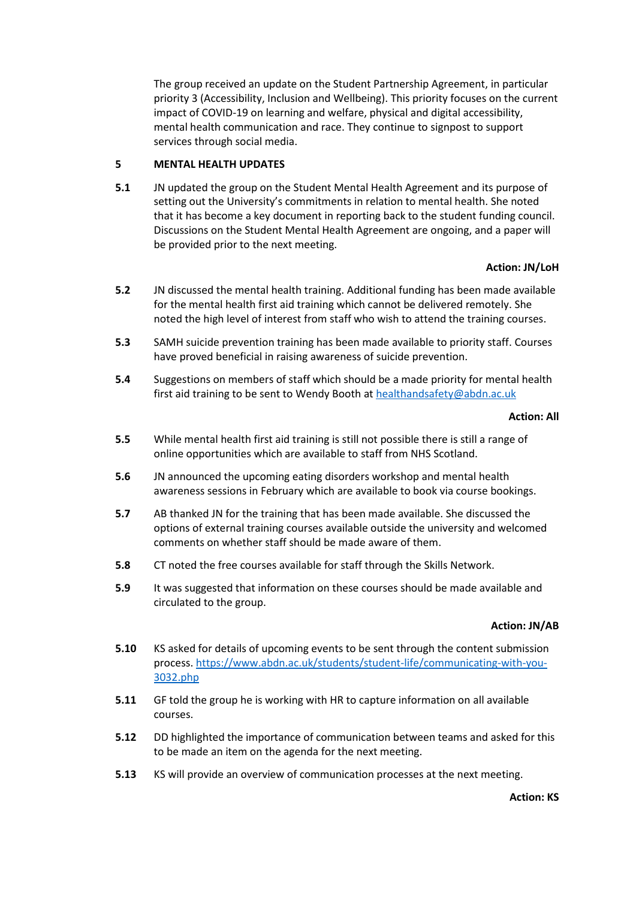The group received an update on the Student Partnership Agreement, in particular priority 3 (Accessibility, Inclusion and Wellbeing). This priority focuses on the current impact of COVID-19 on learning and welfare, physical and digital accessibility, mental health communication and race. They continue to signpost to support services through social media.

## **5 MENTAL HEALTH UPDATES**

**5.1** JN updated the group on the Student Mental Health Agreement and its purpose of setting out the University's commitments in relation to mental health. She noted that it has become a key document in reporting back to the student funding council. Discussions on the Student Mental Health Agreement are ongoing, and a paper will be provided prior to the next meeting.

#### **Action: JN/LoH**

- **5.2** JN discussed the mental health training. Additional funding has been made available for the mental health first aid training which cannot be delivered remotely. She noted the high level of interest from staff who wish to attend the training courses.
- **5.3** SAMH suicide prevention training has been made available to priority staff. Courses have proved beneficial in raising awareness of suicide prevention.
- **5.4** Suggestions on members of staff which should be a made priority for mental health first aid training to be sent to Wendy Booth at <healthandsafety@abdn.ac.uk>

#### **Action: All**

- **5.5** While mental health first aid training is still not possible there is still a range of online opportunities which are available to staff from NHS Scotland.
- **5.6** JN announced the upcoming eating disorders workshop and mental health awareness sessions in February which are available to book via course bookings.
- **5.7** AB thanked JN for the training that has been made available. She discussed the options of external training courses available outside the university and welcomed comments on whether staff should be made aware of them.
- **5.8** CT noted the free courses available for staff through the Skills Network.
- **5.9** It was suggested that information on these courses should be made available and circulated to the group.

#### **Action: JN/AB**

- **5.10** KS asked for details of upcoming events to be sent through the content submission process. [https://www.abdn.ac.uk/students/student-life/communicating-with-you-](https://www.abdn.ac.uk/students/student-life/communicating-with-you-3032.php)[3032.php](https://www.abdn.ac.uk/students/student-life/communicating-with-you-3032.php)
- **5.11** GF told the group he is working with HR to capture information on all available courses.
- **5.12** DD highlighted the importance of communication between teams and asked for this to be made an item on the agenda for the next meeting.
- **5.13** KS will provide an overview of communication processes at the next meeting.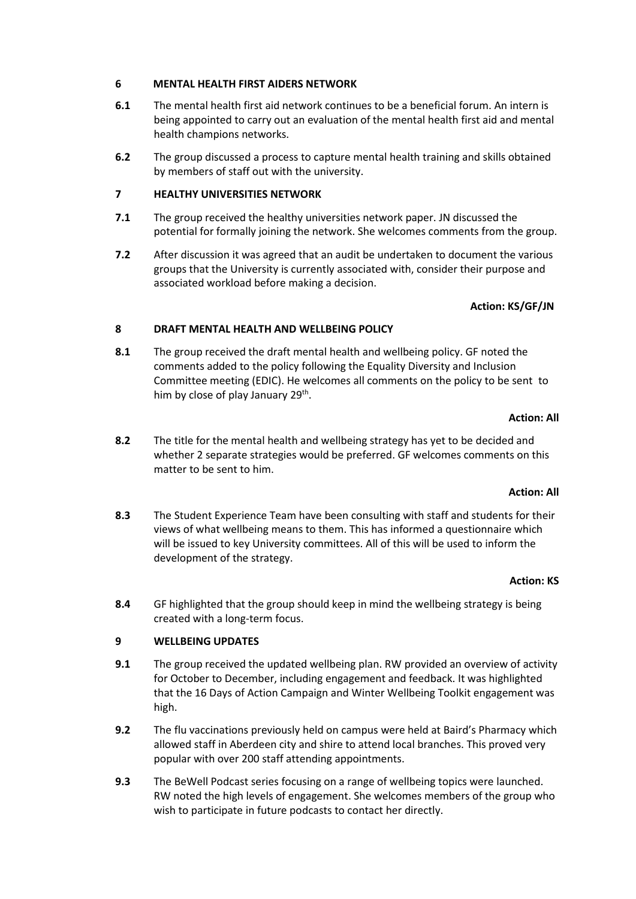## **6 MENTAL HEALTH FIRST AIDERS NETWORK**

- **6.1** The mental health first aid network continues to be a beneficial forum. An intern is being appointed to carry out an evaluation of the mental health first aid and mental health champions networks.
- **6.2** The group discussed a process to capture mental health training and skills obtained by members of staff out with the university.

# **7 HEALTHY UNIVERSITIES NETWORK**

- **7.1** The group received the healthy universities network paper. JN discussed the potential for formally joining the network. She welcomes comments from the group.
- **7.2** After discussion it was agreed that an audit be undertaken to document the various groups that the University is currently associated with, consider their purpose and associated workload before making a decision.

# **Action: KS/GF/JN**

# **8 DRAFT MENTAL HEALTH AND WELLBEING POLICY**

**8.1** The group received the draft mental health and wellbeing policy. GF noted the comments added to the policy following the Equality Diversity and Inclusion Committee meeting (EDIC). He welcomes all comments on the policy to be sent to him by close of play January 29<sup>th</sup>.

# **Action: All**

**8.2** The title for the mental health and wellbeing strategy has yet to be decided and whether 2 separate strategies would be preferred. GF welcomes comments on this matter to be sent to him.

## **Action: All**

**8.3** The Student Experience Team have been consulting with staff and students for their views of what wellbeing means to them. This has informed a questionnaire which will be issued to key University committees. All of this will be used to inform the development of the strategy.

## **Action: KS**

**8.4** GF highlighted that the group should keep in mind the wellbeing strategy is being created with a long-term focus.

# **9 WELLBEING UPDATES**

- **9.1** The group received the updated wellbeing plan. RW provided an overview of activity for October to December, including engagement and feedback. It was highlighted that the 16 Days of Action Campaign and Winter Wellbeing Toolkit engagement was high.
- **9.2** The flu vaccinations previously held on campus were held at Baird's Pharmacy which allowed staff in Aberdeen city and shire to attend local branches. This proved very popular with over 200 staff attending appointments.
- **9.3** The BeWell Podcast series focusing on a range of wellbeing topics were launched. RW noted the high levels of engagement. She welcomes members of the group who wish to participate in future podcasts to contact her directly.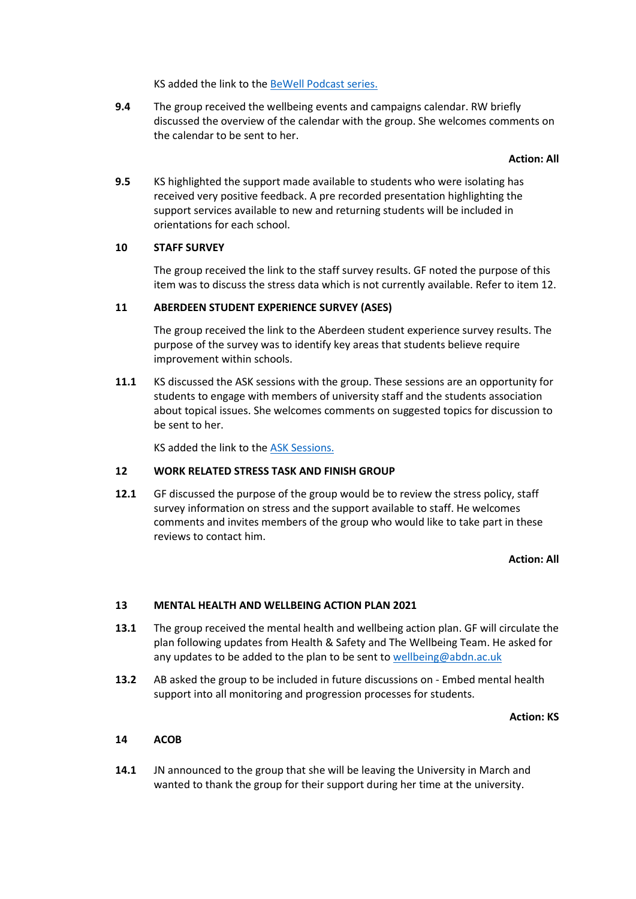KS added the link to the [BeWell Podcast series.](https://www.abdn.ac.uk/students/support/bewell-podcasts-5089.php)

**9.4** The group received the wellbeing events and campaigns calendar. RW briefly discussed the overview of the calendar with the group. She welcomes comments on the calendar to be sent to her.

#### **Action: All**

**9.5** KS highlighted the support made available to students who were isolating has received very positive feedback. A pre recorded presentation highlighting the support services available to new and returning students will be included in orientations for each school.

### **10 STAFF SURVEY**

The group received the link to the staff survey results. GF noted the purpose of this item was to discuss the stress data which is not currently available. Refer to item 12.

### **11 ABERDEEN STUDENT EXPERIENCE SURVEY (ASES)**

The group received the link to the Aberdeen student experience survey results. The purpose of the survey was to identify key areas that students believe require improvement within schools.

**11.1** KS discussed the ASK sessions with the group. These sessions are an opportunity for students to engage with members of university staff and the students association about topical issues. She welcomes comments on suggested topics for discussion to be sent to her.

KS added the link to the [ASK Sessions.](https://www.abdn.ac.uk/students/events/16267/)

## **12 WORK RELATED STRESS TASK AND FINISH GROUP**

**12.1** GF discussed the purpose of the group would be to review the stress policy, staff survey information on stress and the support available to staff. He welcomes comments and invites members of the group who would like to take part in these reviews to contact him.

### **Action: All**

## **13 MENTAL HEALTH AND WELLBEING ACTION PLAN 2021**

- **13.1** The group received the mental health and wellbeing action plan. GF will circulate the plan following updates from Health & Safety and The Wellbeing Team. He asked for any updates to be added to the plan to be sent to [wellbeing@abdn.ac.uk](mailto:wellbeing@abdn.ac.uk)
- **13.2** AB asked the group to be included in future discussions on Embed mental health support into all monitoring and progression processes for students.

#### **Action: KS**

### **14 ACOB**

**14.1** JN announced to the group that she will be leaving the University in March and wanted to thank the group for their support during her time at the university.